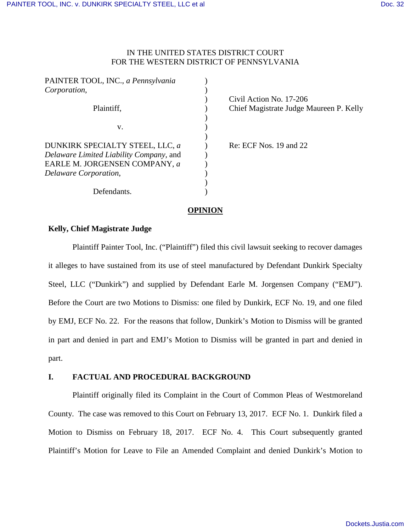# IN THE UNITED STATES DISTRICT COURT FOR THE WESTERN DISTRICT OF PENNSYLVANIA

| PAINTER TOOL, INC., a Pennsylvania                                         |  |
|----------------------------------------------------------------------------|--|
| Corporation,                                                               |  |
|                                                                            |  |
| Plaintiff.                                                                 |  |
| v.                                                                         |  |
| DUNKIRK SPECIALTY STEEL, LLC, a<br>Delaware Limited Liability Company, and |  |
| EARLE M. JORGENSEN COMPANY, a<br>Delaware Corporation,                     |  |
|                                                                            |  |
| Defendants.                                                                |  |

Civil Action No. 17-206 Chief Magistrate Judge Maureen P. Kelly

Re: ECF Nos. 19 and 22

## **OPINION**

## **Kelly, Chief Magistrate Judge**

Plaintiff Painter Tool, Inc. ("Plaintiff") filed this civil lawsuit seeking to recover damages it alleges to have sustained from its use of steel manufactured by Defendant Dunkirk Specialty Steel, LLC ("Dunkirk") and supplied by Defendant Earle M. Jorgensen Company ("EMJ"). Before the Court are two Motions to Dismiss: one filed by Dunkirk, ECF No. 19, and one filed by EMJ, ECF No. 22. For the reasons that follow, Dunkirk's Motion to Dismiss will be granted in part and denied in part and EMJ's Motion to Dismiss will be granted in part and denied in part.

## **I. FACTUAL AND PROCEDURAL BACKGROUND**

Plaintiff originally filed its Complaint in the Court of Common Pleas of Westmoreland County. The case was removed to this Court on February 13, 2017. ECF No. 1. Dunkirk filed a Motion to Dismiss on February 18, 2017. ECF No. 4. This Court subsequently granted Plaintiff's Motion for Leave to File an Amended Complaint and denied Dunkirk's Motion to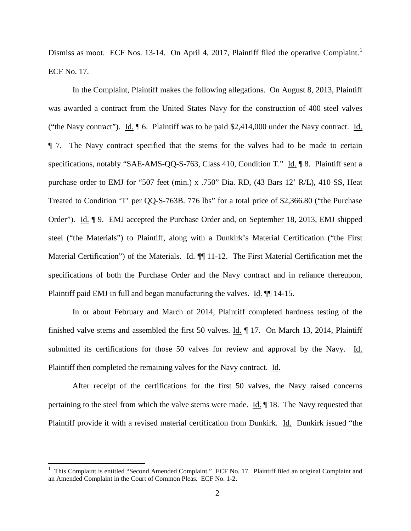Dismiss as moot. ECF Nos. [1](#page-1-0)3-14. On April 4, 2017, Plaintiff filed the operative Complaint.<sup>1</sup> ECF No. 17.

In the Complaint, Plaintiff makes the following allegations. On August 8, 2013, Plaintiff was awarded a contract from the United States Navy for the construction of 400 steel valves ("the Navy contract"). Id. ¶ 6. Plaintiff was to be paid \$2,414,000 under the Navy contract. Id. ¶ 7. The Navy contract specified that the stems for the valves had to be made to certain specifications, notably "SAE-AMS-QQ-S-763, Class 410, Condition T." Id. ¶ 8. Plaintiff sent a purchase order to EMJ for "507 feet (min.) x .750" Dia. RD, (43 Bars 12' R/L), 410 SS, Heat Treated to Condition 'T' per QQ-S-763B. 776 lbs" for a total price of \$2,366.80 ("the Purchase Order"). Id. ¶ 9. EMJ accepted the Purchase Order and, on September 18, 2013, EMJ shipped steel ("the Materials") to Plaintiff, along with a Dunkirk's Material Certification ("the First Material Certification") of the Materials. Id.  $\P$  11-12. The First Material Certification met the specifications of both the Purchase Order and the Navy contract and in reliance thereupon, Plaintiff paid EMJ in full and began manufacturing the valves. Id.  $\P$  14-15.

In or about February and March of 2014, Plaintiff completed hardness testing of the finished valve stems and assembled the first 50 valves. Id. ¶ 17. On March 13, 2014, Plaintiff submitted its certifications for those 50 valves for review and approval by the Navy. Id. Plaintiff then completed the remaining valves for the Navy contract. Id.

After receipt of the certifications for the first 50 valves, the Navy raised concerns pertaining to the steel from which the valve stems were made.  $\underline{Id}$ .  $\P$  18. The Navy requested that Plaintiff provide it with a revised material certification from Dunkirk. Id. Dunkirk issued "the

 $\overline{a}$ 

<span id="page-1-0"></span><sup>1</sup> This Complaint is entitled "Second Amended Complaint." ECF No. 17. Plaintiff filed an original Complaint and an Amended Complaint in the Court of Common Pleas. ECF No. 1-2.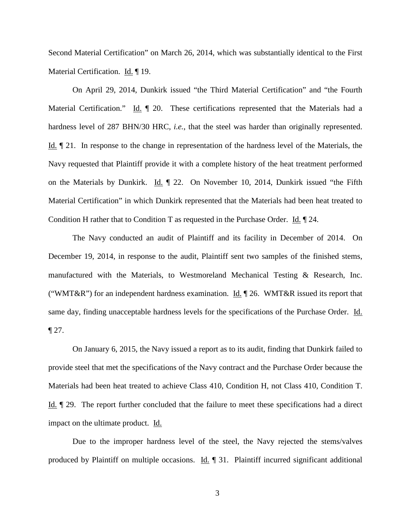Second Material Certification" on March 26, 2014, which was substantially identical to the First Material Certification. Id. ¶ 19.

On April 29, 2014, Dunkirk issued "the Third Material Certification" and "the Fourth Material Certification." Id.  $\parallel$  20. These certifications represented that the Materials had a hardness level of 287 BHN/30 HRC, *i.e.*, that the steel was harder than originally represented. Id. ¶ 21. In response to the change in representation of the hardness level of the Materials, the Navy requested that Plaintiff provide it with a complete history of the heat treatment performed on the Materials by Dunkirk. Id. ¶ 22. On November 10, 2014, Dunkirk issued "the Fifth Material Certification" in which Dunkirk represented that the Materials had been heat treated to Condition H rather that to Condition T as requested in the Purchase Order. Id. ¶ 24.

The Navy conducted an audit of Plaintiff and its facility in December of 2014. On December 19, 2014, in response to the audit, Plaintiff sent two samples of the finished stems, manufactured with the Materials, to Westmoreland Mechanical Testing & Research, Inc. ("WMT&R") for an independent hardness examination. Id.  $\P$  26. WMT&R issued its report that same day, finding unacceptable hardness levels for the specifications of the Purchase Order. Id.  $\P$  27.

On January 6, 2015, the Navy issued a report as to its audit, finding that Dunkirk failed to provide steel that met the specifications of the Navy contract and the Purchase Order because the Materials had been heat treated to achieve Class 410, Condition H, not Class 410, Condition T. Id. ¶ 29. The report further concluded that the failure to meet these specifications had a direct impact on the ultimate product. Id.

Due to the improper hardness level of the steel, the Navy rejected the stems/valves produced by Plaintiff on multiple occasions. Id. 1 31. Plaintiff incurred significant additional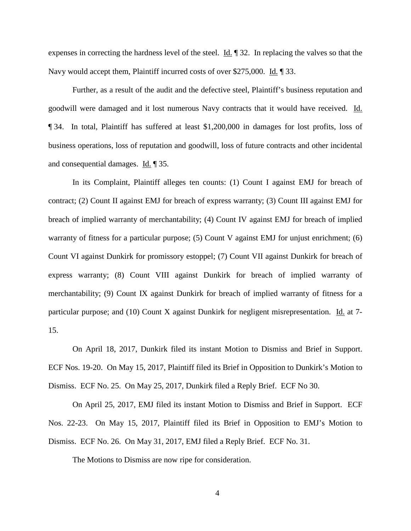expenses in correcting the hardness level of the steel. Id. ¶ 32. In replacing the valves so that the Navy would accept them, Plaintiff incurred costs of over \$275,000. Id. ¶ 33.

Further, as a result of the audit and the defective steel, Plaintiff's business reputation and goodwill were damaged and it lost numerous Navy contracts that it would have received. Id. ¶ 34. In total, Plaintiff has suffered at least \$1,200,000 in damages for lost profits, loss of business operations, loss of reputation and goodwill, loss of future contracts and other incidental and consequential damages. Id. ¶ 35.

In its Complaint, Plaintiff alleges ten counts: (1) Count I against EMJ for breach of contract; (2) Count II against EMJ for breach of express warranty; (3) Count III against EMJ for breach of implied warranty of merchantability; (4) Count IV against EMJ for breach of implied warranty of fitness for a particular purpose; (5) Count V against EMJ for unjust enrichment; (6) Count VI against Dunkirk for promissory estoppel; (7) Count VII against Dunkirk for breach of express warranty; (8) Count VIII against Dunkirk for breach of implied warranty of merchantability; (9) Count IX against Dunkirk for breach of implied warranty of fitness for a particular purpose; and (10) Count X against Dunkirk for negligent misrepresentation. Id. at 7-15.

On April 18, 2017, Dunkirk filed its instant Motion to Dismiss and Brief in Support. ECF Nos. 19-20. On May 15, 2017, Plaintiff filed its Brief in Opposition to Dunkirk's Motion to Dismiss. ECF No. 25. On May 25, 2017, Dunkirk filed a Reply Brief. ECF No 30.

On April 25, 2017, EMJ filed its instant Motion to Dismiss and Brief in Support. ECF Nos. 22-23. On May 15, 2017, Plaintiff filed its Brief in Opposition to EMJ's Motion to Dismiss. ECF No. 26. On May 31, 2017, EMJ filed a Reply Brief. ECF No. 31.

The Motions to Dismiss are now ripe for consideration.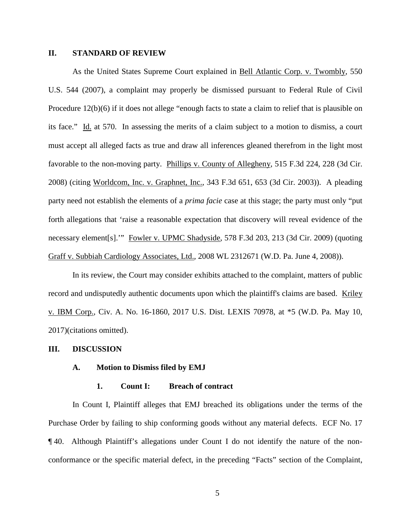### **II. STANDARD OF REVIEW**

As the United States Supreme Court explained in Bell Atlantic Corp. v. Twombly, 550 U.S. 544 (2007), a complaint may properly be dismissed pursuant to Federal Rule of Civil Procedure 12(b)(6) if it does not allege "enough facts to state a claim to relief that is plausible on its face." Id. at 570. In assessing the merits of a claim subject to a motion to dismiss, a court must accept all alleged facts as true and draw all inferences gleaned therefrom in the light most favorable to the non-moving party. Phillips v. County of Allegheny, 515 F.3d 224, 228 (3d Cir. 2008) (citing Worldcom, Inc. v. Graphnet, Inc., 343 F.3d 651, 653 (3d Cir. 2003)). A pleading party need not establish the elements of a *prima facie* case at this stage; the party must only "put forth allegations that 'raise a reasonable expectation that discovery will reveal evidence of the necessary element[s].'" Fowler v. UPMC Shadyside, 578 F.3d 203, 213 (3d Cir. 2009) (quoting Graff v. Subbiah Cardiology Associates, Ltd., 2008 WL 2312671 (W.D. Pa. June 4, 2008)).

In its review, the Court may consider exhibits attached to the complaint, matters of public record and undisputedly authentic documents upon which the plaintiff's claims are based. Kriley v. IBM Corp., Civ. A. No. 16-1860, 2017 U.S. Dist. LEXIS 70978, at \*5 (W.D. Pa. May 10, 2017)(citations omitted).

#### **III. DISCUSSION**

#### **A. Motion to Dismiss filed by EMJ**

#### **1. Count I: Breach of contract**

In Count I, Plaintiff alleges that EMJ breached its obligations under the terms of the Purchase Order by failing to ship conforming goods without any material defects. ECF No. 17 ¶ 40. Although Plaintiff's allegations under Count I do not identify the nature of the nonconformance or the specific material defect, in the preceding "Facts" section of the Complaint,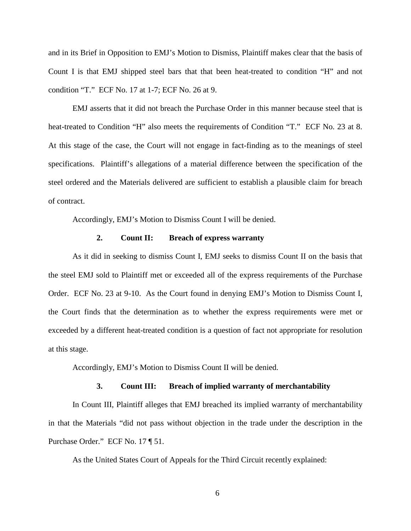and in its Brief in Opposition to EMJ's Motion to Dismiss, Plaintiff makes clear that the basis of Count I is that EMJ shipped steel bars that that been heat-treated to condition "H" and not condition "T." ECF No. 17 at 1-7; ECF No. 26 at 9.

EMJ asserts that it did not breach the Purchase Order in this manner because steel that is heat-treated to Condition "H" also meets the requirements of Condition "T." ECF No. 23 at 8. At this stage of the case, the Court will not engage in fact-finding as to the meanings of steel specifications. Plaintiff's allegations of a material difference between the specification of the steel ordered and the Materials delivered are sufficient to establish a plausible claim for breach of contract.

Accordingly, EMJ's Motion to Dismiss Count I will be denied.

### **2. Count II: Breach of express warranty**

As it did in seeking to dismiss Count I, EMJ seeks to dismiss Count II on the basis that the steel EMJ sold to Plaintiff met or exceeded all of the express requirements of the Purchase Order. ECF No. 23 at 9-10. As the Court found in denying EMJ's Motion to Dismiss Count I, the Court finds that the determination as to whether the express requirements were met or exceeded by a different heat-treated condition is a question of fact not appropriate for resolution at this stage.

Accordingly, EMJ's Motion to Dismiss Count II will be denied.

#### **3. Count III: Breach of implied warranty of merchantability**

In Count III, Plaintiff alleges that EMJ breached its implied warranty of merchantability in that the Materials "did not pass without objection in the trade under the description in the Purchase Order." ECF No. 17 ¶ 51.

As the United States Court of Appeals for the Third Circuit recently explained: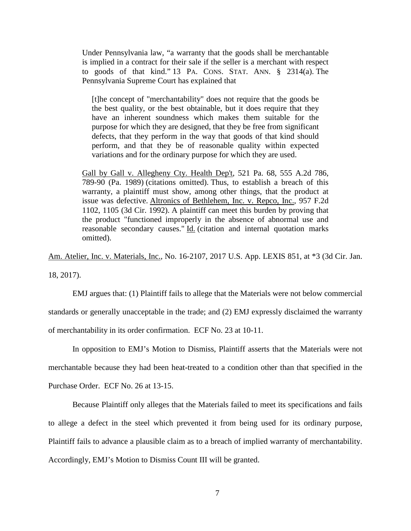Under Pennsylvania law, "a warranty that the goods shall be merchantable is implied in a contract for their sale if the seller is a merchant with respect to goods of that kind." 13 PA. CONS. STAT. ANN. § 2314(a). The Pennsylvania Supreme Court has explained that

[t]he concept of "merchantability" does not require that the goods be the best quality, or the best obtainable, but it does require that they have an inherent soundness which makes them suitable for the purpose for which they are designed, that they be free from significant defects, that they perform in the way that goods of that kind should perform, and that they be of reasonable quality within expected variations and for the ordinary purpose for which they are used.

Gall by Gall v. Allegheny Cty. Health Dep't, 521 Pa. 68, 555 A.2d 786, 789-90 (Pa. 1989) (citations omitted). Thus, to establish a breach of this warranty, a plaintiff must show, among other things, that the product at issue was defective. Altronics of Bethlehem, Inc. v. Repco, Inc., 957 F.2d 1102, 1105 (3d Cir. 1992). A plaintiff can meet this burden by proving that the product "functioned improperly in the absence of abnormal use and reasonable secondary causes." Id. (citation and internal quotation marks omitted).

Am. Atelier, Inc. v. Materials, Inc., No. 16-2107, 2017 U.S. App. LEXIS 851, at \*3 (3d Cir. Jan. 18, 2017).

EMJ argues that: (1) Plaintiff fails to allege that the Materials were not below commercial standards or generally unacceptable in the trade; and (2) EMJ expressly disclaimed the warranty of merchantability in its order confirmation. ECF No. 23 at 10-11.

In opposition to EMJ's Motion to Dismiss, Plaintiff asserts that the Materials were not merchantable because they had been heat-treated to a condition other than that specified in the Purchase Order. ECF No. 26 at 13-15.

Because Plaintiff only alleges that the Materials failed to meet its specifications and fails to allege a defect in the steel which prevented it from being used for its ordinary purpose, Plaintiff fails to advance a plausible claim as to a breach of implied warranty of merchantability. Accordingly, EMJ's Motion to Dismiss Count III will be granted.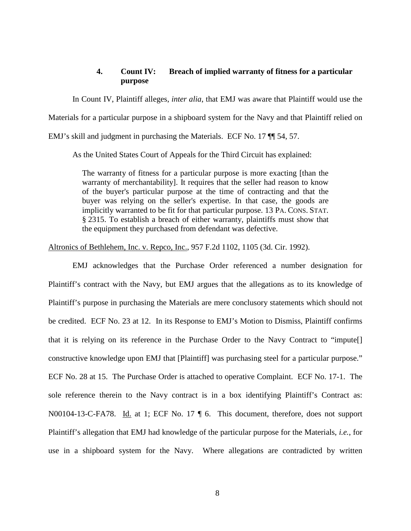## **4. Count IV: Breach of implied warranty of fitness for a particular purpose**

In Count IV, Plaintiff alleges, *inter alia*, that EMJ was aware that Plaintiff would use the

Materials for a particular purpose in a shipboard system for the Navy and that Plaintiff relied on

EMJ's skill and judgment in purchasing the Materials. ECF No. 17 ¶¶ 54, 57.

As the United States Court of Appeals for the Third Circuit has explained:

The warranty of fitness for a particular purpose is more exacting [than the warranty of merchantability]. It requires that the seller had reason to know of the buyer's particular purpose at the time of contracting and that the buyer was relying on the seller's expertise. In that case, the goods are implicitly warranted to be fit for that particular purpose. 13 PA. CONS. STAT. § 2315. To establish a breach of either warranty, plaintiffs must show that the equipment they purchased from defendant was defective.

Altronics of Bethlehem, Inc. v. Repco, Inc., 957 F.2d 1102, 1105 (3d. Cir. 1992).

EMJ acknowledges that the Purchase Order referenced a number designation for Plaintiff's contract with the Navy, but EMJ argues that the allegations as to its knowledge of Plaintiff's purpose in purchasing the Materials are mere conclusory statements which should not be credited. ECF No. 23 at 12. In its Response to EMJ's Motion to Dismiss, Plaintiff confirms that it is relying on its reference in the Purchase Order to the Navy Contract to "impute[] constructive knowledge upon EMJ that [Plaintiff] was purchasing steel for a particular purpose." ECF No. 28 at 15. The Purchase Order is attached to operative Complaint. ECF No. 17-1. The sole reference therein to the Navy contract is in a box identifying Plaintiff's Contract as: N00104-13-C-FA78. Id. at 1; ECF No. 17 | 6. This document, therefore, does not support Plaintiff's allegation that EMJ had knowledge of the particular purpose for the Materials, *i.e.*, for use in a shipboard system for the Navy. Where allegations are contradicted by written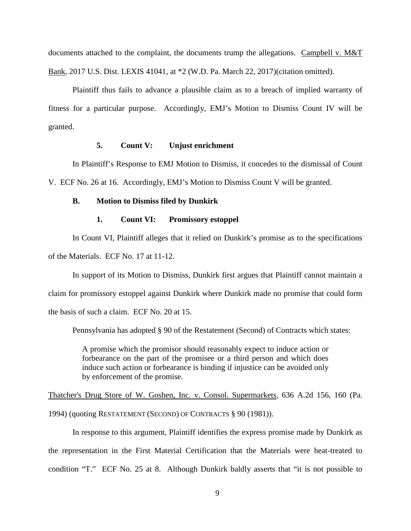documents attached to the complaint, the documents trump the allegations. Campbell v. M&T Bank, 2017 U.S. Dist. LEXIS 41041, at \*2 (W.D. Pa. March 22, 2017)(citation omitted).

Plaintiff thus fails to advance a plausible claim as to a breach of implied warranty of fitness for a particular purpose. Accordingly, EMJ's Motion to Dismiss Count IV will be granted.

### **5. Count V: Unjust enrichment**

In Plaintiff's Response to EMJ Motion to Dismiss, it concedes to the dismissal of Count V. ECF No. 26 at 16. Accordingly, EMJ's Motion to Dismiss Count V will be granted.

### **B. Motion to Dismiss filed by Dunkirk**

## **1. Count VI: Promissory estoppel**

In Count VI, Plaintiff alleges that it relied on Dunkirk's promise as to the specifications of the Materials. ECF No. 17 at 11-12.

In support of its Motion to Dismiss, Dunkirk first argues that Plaintiff cannot maintain a claim for promissory estoppel against Dunkirk where Dunkirk made no promise that could form the basis of such a claim. ECF No. 20 at 15.

Pennsylvania has adopted § 90 of the Restatement (Second) of Contracts which states:

A promise which the promisor should reasonably expect to induce action or forbearance on the part of the promisee or a third person and which does induce such action or forbearance is binding if injustice can be avoided only by enforcement of the promise.

Thatcher's Drug Store of W. Goshen, Inc. v. Consol. Supermarkets, 636 A.2d 156, 160 (Pa. 1994) (quoting RESTATEMENT (SECOND) OF CONTRACTS § 90 (1981)).

In response to this argument, Plaintiff identifies the express promise made by Dunkirk as the representation in the First Material Certification that the Materials were heat-treated to condition "T." ECF No. 25 at 8. Although Dunkirk baldly asserts that "it is not possible to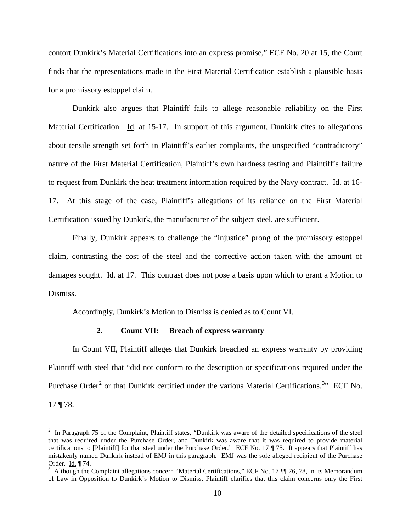contort Dunkirk's Material Certifications into an express promise," ECF No. 20 at 15, the Court finds that the representations made in the First Material Certification establish a plausible basis for a promissory estoppel claim.

Dunkirk also argues that Plaintiff fails to allege reasonable reliability on the First Material Certification. Id. at 15-17. In support of this argument, Dunkirk cites to allegations about tensile strength set forth in Plaintiff's earlier complaints, the unspecified "contradictory" nature of the First Material Certification, Plaintiff's own hardness testing and Plaintiff's failure to request from Dunkirk the heat treatment information required by the Navy contract. Id. at 16-17. At this stage of the case, Plaintiff's allegations of its reliance on the First Material Certification issued by Dunkirk, the manufacturer of the subject steel, are sufficient.

Finally, Dunkirk appears to challenge the "injustice" prong of the promissory estoppel claim, contrasting the cost of the steel and the corrective action taken with the amount of damages sought. Id. at 17. This contrast does not pose a basis upon which to grant a Motion to Dismiss.

Accordingly, Dunkirk's Motion to Dismiss is denied as to Count VI.

### **2. Count VII: Breach of express warranty**

In Count VII, Plaintiff alleges that Dunkirk breached an express warranty by providing Plaintiff with steel that "did not conform to the description or specifications required under the Purchase Order<sup>[2](#page-9-0)</sup> or that Dunkirk certified under the various Material Certifications.<sup>[3](#page-9-1)</sup><sup>3</sup> ECF No. 17 ¶ 78.

<u>.</u>

<span id="page-9-0"></span> $2$  In Paragraph 75 of the Complaint, Plaintiff states, "Dunkirk was aware of the detailed specifications of the steel that was required under the Purchase Order, and Dunkirk was aware that it was required to provide material certifications to [Plaintiff] for that steel under the Purchase Order." ECF No. 17 ¶ 75. It appears that Plaintiff has mistakenly named Dunkirk instead of EMJ in this paragraph. EMJ was the sole alleged recipient of the Purchase Order. Id. ¶ 74.

<span id="page-9-1"></span><sup>&</sup>lt;sup>3</sup> Although the Complaint allegations concern "Material Certifications," ECF No. 17  $\P$  76, 78, in its Memorandum of Law in Opposition to Dunkirk's Motion to Dismiss, Plaintiff clarifies that this claim concerns only the First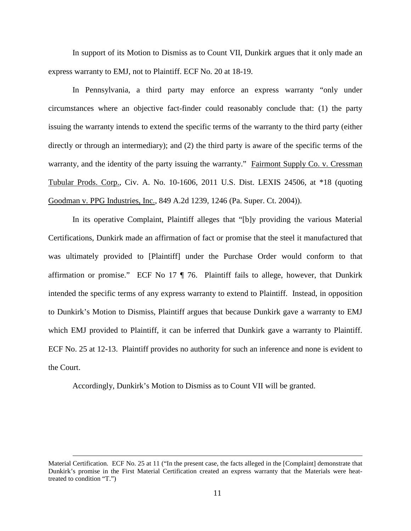In support of its Motion to Dismiss as to Count VII, Dunkirk argues that it only made an express warranty to EMJ, not to Plaintiff. ECF No. 20 at 18-19.

In Pennsylvania, a third party may enforce an express warranty "only under circumstances where an objective fact-finder could reasonably conclude that: (1) the party issuing the warranty intends to extend the specific terms of the warranty to the third party (either directly or through an intermediary); and (2) the third party is aware of the specific terms of the warranty, and the identity of the party issuing the warranty." Fairmont Supply Co. v. Cressman Tubular Prods. Corp., Civ. A. No. 10-1606, 2011 U.S. Dist. LEXIS 24506, at \*18 (quoting Goodman v. PPG Industries, Inc., 849 A.2d 1239, 1246 (Pa. Super. Ct. 2004)).

In its operative Complaint, Plaintiff alleges that "[b]y providing the various Material Certifications, Dunkirk made an affirmation of fact or promise that the steel it manufactured that was ultimately provided to [Plaintiff] under the Purchase Order would conform to that affirmation or promise." ECF No 17 ¶ 76. Plaintiff fails to allege, however, that Dunkirk intended the specific terms of any express warranty to extend to Plaintiff. Instead, in opposition to Dunkirk's Motion to Dismiss, Plaintiff argues that because Dunkirk gave a warranty to EMJ which EMJ provided to Plaintiff, it can be inferred that Dunkirk gave a warranty to Plaintiff. ECF No. 25 at 12-13. Plaintiff provides no authority for such an inference and none is evident to the Court.

Accordingly, Dunkirk's Motion to Dismiss as to Count VII will be granted.

 $\overline{a}$ 

Material Certification. ECF No. 25 at 11 ("In the present case, the facts alleged in the [Complaint] demonstrate that Dunkirk's promise in the First Material Certification created an express warranty that the Materials were heattreated to condition "T.")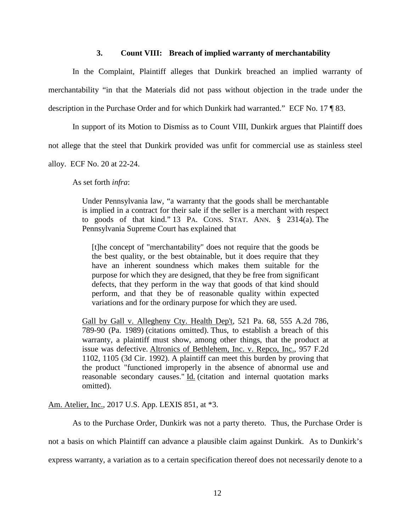#### **3. Count VIII: Breach of implied warranty of merchantability**

In the Complaint, Plaintiff alleges that Dunkirk breached an implied warranty of merchantability "in that the Materials did not pass without objection in the trade under the description in the Purchase Order and for which Dunkirk had warranted." ECF No. 17 ¶ 83.

In support of its Motion to Dismiss as to Count VIII, Dunkirk argues that Plaintiff does

not allege that the steel that Dunkirk provided was unfit for commercial use as stainless steel

alloy. ECF No. 20 at 22-24.

As set forth *infra*:

Under Pennsylvania law, "a warranty that the goods shall be merchantable is implied in a contract for their sale if the seller is a merchant with respect to goods of that kind." 13 PA. CONS. STAT. ANN. § 2314(a). The Pennsylvania Supreme Court has explained that

[t]he concept of "merchantability" does not require that the goods be the best quality, or the best obtainable, but it does require that they have an inherent soundness which makes them suitable for the purpose for which they are designed, that they be free from significant defects, that they perform in the way that goods of that kind should perform, and that they be of reasonable quality within expected variations and for the ordinary purpose for which they are used.

Gall by Gall v. Allegheny Cty. Health Dep't, 521 Pa. 68, 555 A.2d 786, 789-90 (Pa. 1989) (citations omitted). Thus, to establish a breach of this warranty, a plaintiff must show, among other things, that the product at issue was defective. Altronics of Bethlehem, Inc. v. Repco, Inc., 957 F.2d 1102, 1105 (3d Cir. 1992). A plaintiff can meet this burden by proving that the product "functioned improperly in the absence of abnormal use and reasonable secondary causes." Id. (citation and internal quotation marks omitted).

Am. Atelier, Inc., 2017 U.S. App. LEXIS 851, at \*3.

As to the Purchase Order, Dunkirk was not a party thereto. Thus, the Purchase Order is not a basis on which Plaintiff can advance a plausible claim against Dunkirk. As to Dunkirk's express warranty, a variation as to a certain specification thereof does not necessarily denote to a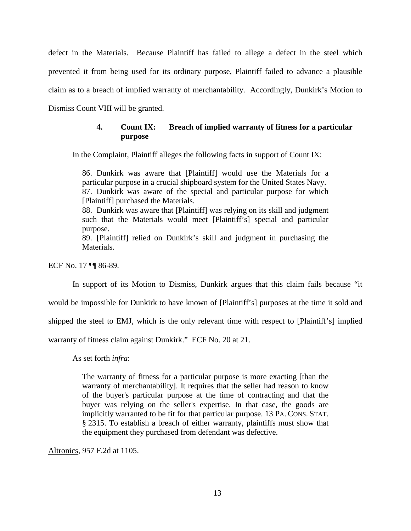defect in the Materials. Because Plaintiff has failed to allege a defect in the steel which prevented it from being used for its ordinary purpose, Plaintiff failed to advance a plausible claim as to a breach of implied warranty of merchantability. Accordingly, Dunkirk's Motion to Dismiss Count VIII will be granted.

# **4. Count IX: Breach of implied warranty of fitness for a particular purpose**

In the Complaint, Plaintiff alleges the following facts in support of Count IX:

86. Dunkirk was aware that [Plaintiff] would use the Materials for a particular purpose in a crucial shipboard system for the United States Navy. 87. Dunkirk was aware of the special and particular purpose for which [Plaintiff] purchased the Materials. 88. Dunkirk was aware that [Plaintiff] was relying on its skill and judgment such that the Materials would meet [Plaintiff's] special and particular purpose.

89. [Plaintiff] relied on Dunkirk's skill and judgment in purchasing the Materials.

ECF No. 17 ¶¶ 86-89.

In support of its Motion to Dismiss, Dunkirk argues that this claim fails because "it

would be impossible for Dunkirk to have known of [Plaintiff's] purposes at the time it sold and

shipped the steel to EMJ, which is the only relevant time with respect to [Plaintiff's] implied

warranty of fitness claim against Dunkirk." ECF No. 20 at 21.

As set forth *infra*:

The warranty of fitness for a particular purpose is more exacting [than the warranty of merchantability]. It requires that the seller had reason to know of the buyer's particular purpose at the time of contracting and that the buyer was relying on the seller's expertise. In that case, the goods are implicitly warranted to be fit for that particular purpose. 13 PA. CONS. STAT. § 2315. To establish a breach of either warranty, plaintiffs must show that the equipment they purchased from defendant was defective.

Altronics, 957 F.2d at 1105.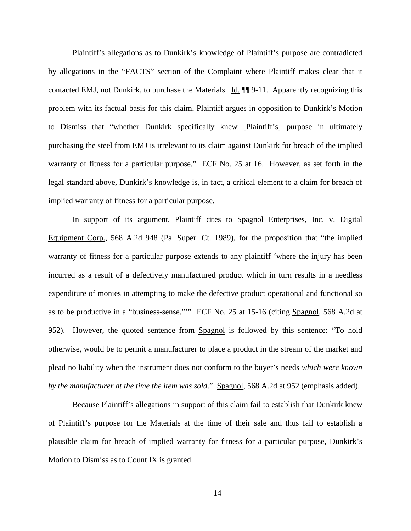Plaintiff's allegations as to Dunkirk's knowledge of Plaintiff's purpose are contradicted by allegations in the "FACTS" section of the Complaint where Plaintiff makes clear that it contacted EMJ, not Dunkirk, to purchase the Materials. Id. ¶¶ 9-11. Apparently recognizing this problem with its factual basis for this claim, Plaintiff argues in opposition to Dunkirk's Motion to Dismiss that "whether Dunkirk specifically knew [Plaintiff's] purpose in ultimately purchasing the steel from EMJ is irrelevant to its claim against Dunkirk for breach of the implied warranty of fitness for a particular purpose." ECF No. 25 at 16. However, as set forth in the legal standard above, Dunkirk's knowledge is, in fact, a critical element to a claim for breach of implied warranty of fitness for a particular purpose.

In support of its argument, Plaintiff cites to Spagnol Enterprises, Inc. v. Digital Equipment Corp., 568 A.2d 948 (Pa. Super. Ct. 1989), for the proposition that "the implied warranty of fitness for a particular purpose extends to any plaintiff 'where the injury has been incurred as a result of a defectively manufactured product which in turn results in a needless expenditure of monies in attempting to make the defective product operational and functional so as to be productive in a "business-sense."'" ECF No. 25 at 15-16 (citing Spagnol, 568 A.2d at 952). However, the quoted sentence from Spagnol is followed by this sentence: "To hold otherwise, would be to permit a manufacturer to place a product in the stream of the market and plead no liability when the instrument does not conform to the buyer's needs *which were known by the manufacturer at the time the item was sold*." Spagnol, 568 A.2d at 952 (emphasis added).

Because Plaintiff's allegations in support of this claim fail to establish that Dunkirk knew of Plaintiff's purpose for the Materials at the time of their sale and thus fail to establish a plausible claim for breach of implied warranty for fitness for a particular purpose, Dunkirk's Motion to Dismiss as to Count IX is granted.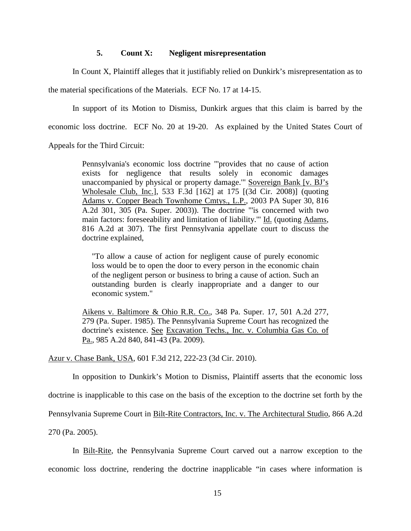## **5. Count X: Negligent misrepresentation**

In Count X, Plaintiff alleges that it justifiably relied on Dunkirk's misrepresentation as to

the material specifications of the Materials. ECF No. 17 at 14-15.

In support of its Motion to Dismiss, Dunkirk argues that this claim is barred by the economic loss doctrine. ECF No. 20 at 19-20. As explained by the United States Court of

Appeals for the Third Circuit:

Pennsylvania's economic loss doctrine "'provides that no cause of action exists for negligence that results solely in economic damages unaccompanied by physical or property damage.'" Sovereign Bank [v. BJ's Wholesale Club, Inc.], 533 F.3d [162] at 175 [(3d Cir. 2008)] (quoting Adams v. Copper Beach Townhome Cmtys., L.P., 2003 PA Super 30, 816 A.2d 301, 305 (Pa. Super. 2003)). The doctrine "'is concerned with two main factors: foreseeability and limitation of liability."" Id. (quoting Adams, 816 A.2d at 307). The first Pennsylvania appellate court to discuss the doctrine explained,

"To allow a cause of action for negligent cause of purely economic loss would be to open the door to every person in the economic chain of the negligent person or business to bring a cause of action. Such an outstanding burden is clearly inappropriate and a danger to our economic system."

Aikens v. Baltimore & Ohio R.R. Co., 348 Pa. Super. 17, 501 A.2d 277, 279 (Pa. Super. 1985). The Pennsylvania Supreme Court has recognized the doctrine's existence. See Excavation Techs., Inc. v. Columbia Gas Co. of Pa., 985 A.2d 840, 841-43 (Pa. 2009).

Azur v. Chase Bank, USA, 601 F.3d 212, 222-23 (3d Cir. 2010).

In opposition to Dunkirk's Motion to Dismiss, Plaintiff asserts that the economic loss

doctrine is inapplicable to this case on the basis of the exception to the doctrine set forth by the

Pennsylvania Supreme Court in Bilt-Rite Contractors, Inc. v. The Architectural Studio, 866 A.2d

270 (Pa. 2005).

In Bilt-Rite, the Pennsylvania Supreme Court carved out a narrow exception to the economic loss doctrine, rendering the doctrine inapplicable "in cases where information is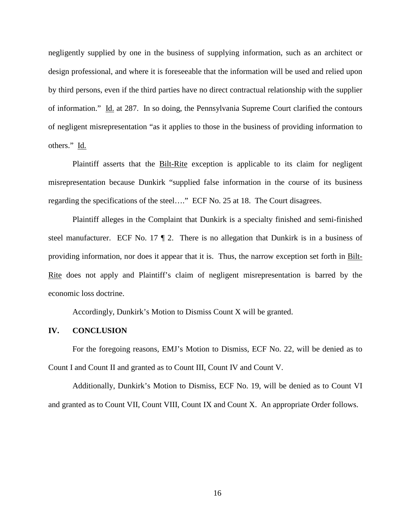negligently supplied by one in the business of supplying information, such as an architect or design professional, and where it is foreseeable that the information will be used and relied upon by third persons, even if the third parties have no direct contractual relationship with the supplier of information." Id. at 287. In so doing, the Pennsylvania Supreme Court clarified the contours of negligent misrepresentation "as it applies to those in the business of providing information to others." Id.

Plaintiff asserts that the Bilt-Rite exception is applicable to its claim for negligent misrepresentation because Dunkirk "supplied false information in the course of its business regarding the specifications of the steel…." ECF No. 25 at 18. The Court disagrees.

Plaintiff alleges in the Complaint that Dunkirk is a specialty finished and semi-finished steel manufacturer. ECF No. 17 ¶ 2. There is no allegation that Dunkirk is in a business of providing information, nor does it appear that it is. Thus, the narrow exception set forth in Bilt-Rite does not apply and Plaintiff's claim of negligent misrepresentation is barred by the economic loss doctrine.

Accordingly, Dunkirk's Motion to Dismiss Count X will be granted.

### **IV. CONCLUSION**

For the foregoing reasons, EMJ's Motion to Dismiss, ECF No. 22, will be denied as to Count I and Count II and granted as to Count III, Count IV and Count V.

Additionally, Dunkirk's Motion to Dismiss, ECF No. 19, will be denied as to Count VI and granted as to Count VII, Count VIII, Count IX and Count X. An appropriate Order follows.